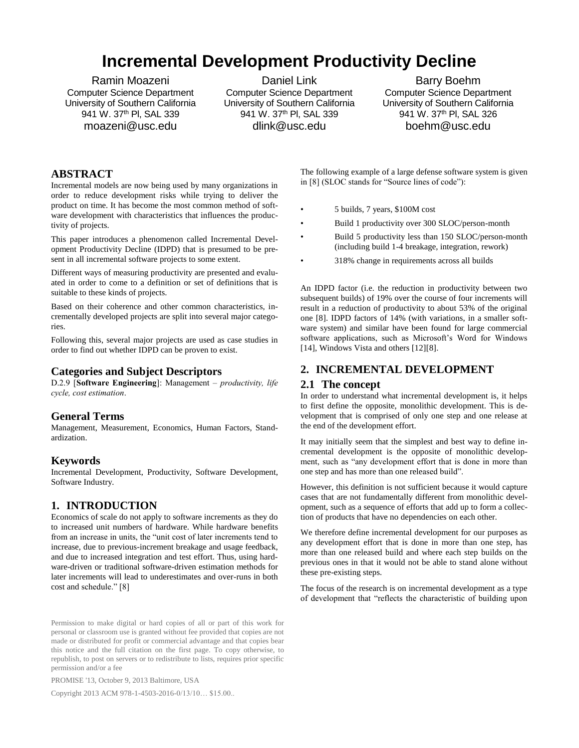# **Incremental Development Productivity Decline**

Ramin Moazeni Computer Science Department University of Southern California 941 W. 37<sup>th</sup> PI, SAL 339 moazeni@usc.edu

Daniel Link Computer Science Department University of Southern California 941 W. 37th Pl, SAL 339 dlink@usc.edu

Barry Boehm Computer Science Department University of Southern California 941 W. 37<sup>th</sup> PI, SAL 326 boehm@usc.edu

# **ABSTRACT**

Incremental models are now being used by many organizations in order to reduce development risks while trying to deliver the product on time. It has become the most common method of software development with characteristics that influences the productivity of projects.

This paper introduces a phenomenon called Incremental Development Productivity Decline (IDPD) that is presumed to be present in all incremental software projects to some extent.

Different ways of measuring productivity are presented and evaluated in order to come to a definition or set of definitions that is suitable to these kinds of projects.

Based on their coherence and other common characteristics, incrementally developed projects are split into several major categories.

Following this, several major projects are used as case studies in order to find out whether IDPD can be proven to exist.

## **Categories and Subject Descriptors**

D.2.9 [**Software Engineering**]: Management – *productivity, life cycle, cost estimation*.

# **General Terms**

Management, Measurement, Economics, Human Factors, Standardization.

# **Keywords**

Incremental Development, Productivity, Software Development, Software Industry.

# **1. INTRODUCTION**

Economics of scale do not apply to software increments as they do to increased unit numbers of hardware. While hardware benefits from an increase in units, the "unit cost of later increments tend to increase, due to previous-increment breakage and usage feedback, and due to increased integration and test effort. Thus, using hardware-driven or traditional software-driven estimation methods for later increments will lead to underestimates and over-runs in both cost and schedule." [8]

Permission to make digital or hard copies of all or part of this work for personal or classroom use is granted without fee provided that copies are not made or distributed for profit or commercial advantage and that copies bear this notice and the full citation on the first page. To copy otherwise, to republish, to post on servers or to redistribute to lists, requires prior specific permission and/or a fee

PROMISE '13, October 9, 2013 Baltimore, USA

Copyright 2013 ACM 978-1-4503-2016-0/13/10… \$15.00..

The following example of a large defense software system is given in [8] (SLOC stands for "Source lines of code"):

- 5 builds, 7 years, \$100M cost
- Build 1 productivity over 300 SLOC/person-month
- Build 5 productivity less than 150 SLOC/person-month (including build 1-4 breakage, integration, rework)
- 318% change in requirements across all builds

An IDPD factor (i.e. the reduction in productivity between two subsequent builds) of 19% over the course of four increments will result in a reduction of productivity to about 53% of the original one [8]. IDPD factors of 14% (with variations, in a smaller software system) and similar have been found for large commercial software applications, such as Microsoft's Word for Windows [14], Windows Vista and others [12][8].

# **2. INCREMENTAL DEVELOPMENT**

# **2.1 The concept**

In order to understand what incremental development is, it helps to first define the opposite, monolithic development. This is development that is comprised of only one step and one release at the end of the development effort.

It may initially seem that the simplest and best way to define incremental development is the opposite of monolithic development, such as "any development effort that is done in more than one step and has more than one released build".

However, this definition is not sufficient because it would capture cases that are not fundamentally different from monolithic development, such as a sequence of efforts that add up to form a collection of products that have no dependencies on each other.

We therefore define incremental development for our purposes as any development effort that is done in more than one step, has more than one released build and where each step builds on the previous ones in that it would not be able to stand alone without these pre-existing steps.

The focus of the research is on incremental development as a type of development that "reflects the characteristic of building upon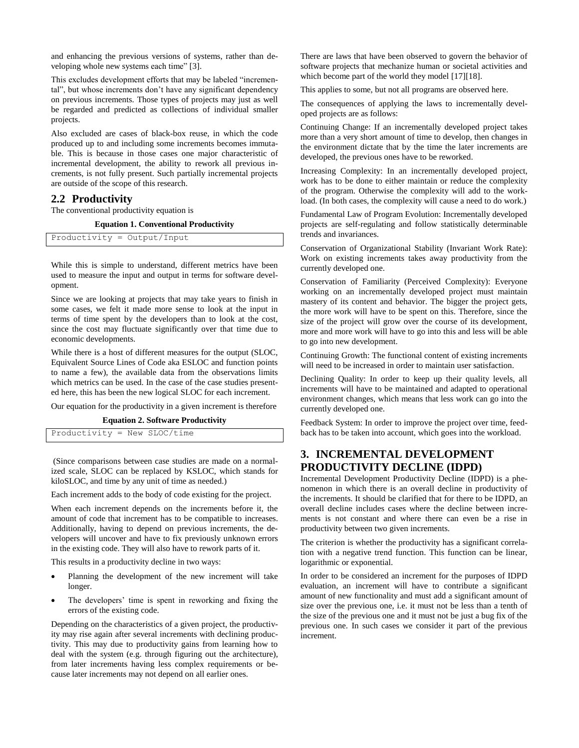and enhancing the previous versions of systems, rather than developing whole new systems each time" [3].

This excludes development efforts that may be labeled "incremental", but whose increments don't have any significant dependency on previous increments. Those types of projects may just as well be regarded and predicted as collections of individual smaller projects.

Also excluded are cases of black-box reuse, in which the code produced up to and including some increments becomes immutable. This is because in those cases one major characteristic of incremental development, the ability to rework all previous increments, is not fully present. Such partially incremental projects are outside of the scope of this research.

### **2.2 Productivity**

The conventional productivity equation is

**Equation 1. Conventional Productivity**

```
Productivity = Output/Input
```
While this is simple to understand, different metrics have been used to measure the input and output in terms for software development.

Since we are looking at projects that may take years to finish in some cases, we felt it made more sense to look at the input in terms of time spent by the developers than to look at the cost, since the cost may fluctuate significantly over that time due to economic developments.

While there is a host of different measures for the output (SLOC, Equivalent Source Lines of Code aka ESLOC and function points to name a few), the available data from the observations limits which metrics can be used. In the case of the case studies presented here, this has been the new logical SLOC for each increment.

Our equation for the productivity in a given increment is therefore

#### **Equation 2. Software Productivity**

Productivity = New SLOC/time

(Since comparisons between case studies are made on a normalized scale, SLOC can be replaced by KSLOC, which stands for kiloSLOC, and time by any unit of time as needed.)

Each increment adds to the body of code existing for the project.

When each increment depends on the increments before it, the amount of code that increment has to be compatible to increases. Additionally, having to depend on previous increments, the developers will uncover and have to fix previously unknown errors in the existing code. They will also have to rework parts of it.

This results in a productivity decline in two ways:

- Planning the development of the new increment will take longer.
- The developers' time is spent in reworking and fixing the errors of the existing code.

Depending on the characteristics of a given project, the productivity may rise again after several increments with declining productivity. This may due to productivity gains from learning how to deal with the system (e.g. through figuring out the architecture), from later increments having less complex requirements or because later increments may not depend on all earlier ones.

There are laws that have been observed to govern the behavior of software projects that mechanize human or societal activities and which become part of the world they model [17][18].

This applies to some, but not all programs are observed here.

The consequences of applying the laws to incrementally developed projects are as follows:

Continuing Change: If an incrementally developed project takes more than a very short amount of time to develop, then changes in the environment dictate that by the time the later increments are developed, the previous ones have to be reworked.

Increasing Complexity: In an incrementally developed project, work has to be done to either maintain or reduce the complexity of the program. Otherwise the complexity will add to the workload. (In both cases, the complexity will cause a need to do work.)

Fundamental Law of Program Evolution: Incrementally developed projects are self-regulating and follow statistically determinable trends and invariances.

Conservation of Organizational Stability (Invariant Work Rate): Work on existing increments takes away productivity from the currently developed one.

Conservation of Familiarity (Perceived Complexity): Everyone working on an incrementally developed project must maintain mastery of its content and behavior. The bigger the project gets, the more work will have to be spent on this. Therefore, since the size of the project will grow over the course of its development, more and more work will have to go into this and less will be able to go into new development.

Continuing Growth: The functional content of existing increments will need to be increased in order to maintain user satisfaction.

Declining Quality: In order to keep up their quality levels, all increments will have to be maintained and adapted to operational environment changes, which means that less work can go into the currently developed one.

Feedback System: In order to improve the project over time, feedback has to be taken into account, which goes into the workload.

# **3. INCREMENTAL DEVELOPMENT PRODUCTIVITY DECLINE (IDPD)**

Incremental Development Productivity Decline (IDPD) is a phenomenon in which there is an overall decline in productivity of the increments. It should be clarified that for there to be IDPD, an overall decline includes cases where the decline between increments is not constant and where there can even be a rise in productivity between two given increments.

The criterion is whether the productivity has a significant correlation with a negative trend function. This function can be linear, logarithmic or exponential.

In order to be considered an increment for the purposes of IDPD evaluation, an increment will have to contribute a significant amount of new functionality and must add a significant amount of size over the previous one, i.e. it must not be less than a tenth of the size of the previous one and it must not be just a bug fix of the previous one. In such cases we consider it part of the previous increment.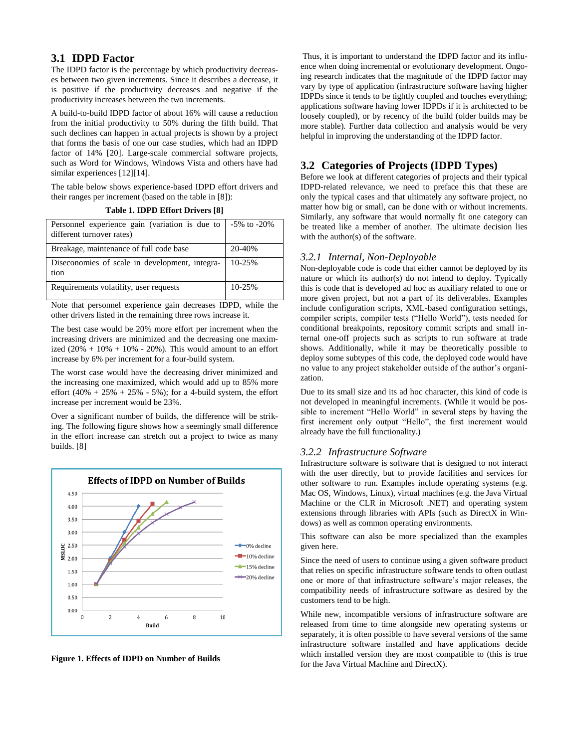# **3.1 IDPD Factor**

The IDPD factor is the percentage by which productivity decreases between two given increments. Since it describes a decrease, it is positive if the productivity decreases and negative if the productivity increases between the two increments.

A build-to-build IDPD factor of about 16% will cause a reduction from the initial productivity to 50% during the fifth build. That such declines can happen in actual projects is shown by a project that forms the basis of one our case studies, which had an IDPD factor of 14% [20]. Large-scale commercial software projects, such as Word for Windows, Windows Vista and others have had similar experiences [12][14].

The table below shows experience-based IDPD effort drivers and their ranges per increment (based on the table in [8]):

| Personnel experience gain (variation is due to $\vert$ -5% to -20%<br>different turnover rates) |        |
|-------------------------------------------------------------------------------------------------|--------|
| Breakage, maintenance of full code base                                                         | 20-40% |
| Diseconomies of scale in development, integra-<br>tion                                          | 10-25% |
| Requirements volatility, user requests                                                          | 10-25% |

Note that personnel experience gain decreases IDPD, while the other drivers listed in the remaining three rows increase it.

The best case would be 20% more effort per increment when the increasing drivers are minimized and the decreasing one maximized  $(20\% + 10\% + 10\% - 20\%)$ . This would amount to an effort increase by 6% per increment for a four-build system.

The worst case would have the decreasing driver minimized and the increasing one maximized, which would add up to 85% more effort  $(40\% + 25\% + 25\% - 5\%)$ ; for a 4-build system, the effort increase per increment would be 23%.

Over a significant number of builds, the difference will be striking. The following figure shows how a seemingly small difference in the effort increase can stretch out a project to twice as many builds. [8]





Thus, it is important to understand the IDPD factor and its influence when doing incremental or evolutionary development. Ongoing research indicates that the magnitude of the IDPD factor may vary by type of application (infrastructure software having higher IDPDs since it tends to be tightly coupled and touches everything; applications software having lower IDPDs if it is architected to be loosely coupled), or by recency of the build (older builds may be more stable). Further data collection and analysis would be very helpful in improving the understanding of the IDPD factor.

# **3.2 Categories of Projects (IDPD Types)**

Before we look at different categories of projects and their typical IDPD-related relevance, we need to preface this that these are only the typical cases and that ultimately any software project, no matter how big or small, can be done with or without increments. Similarly, any software that would normally fit one category can be treated like a member of another. The ultimate decision lies with the author(s) of the software.

# *3.2.1 Internal, Non-Deployable*

Non-deployable code is code that either cannot be deployed by its nature or which its author(s) do not intend to deploy. Typically this is code that is developed ad hoc as auxiliary related to one or more given project, but not a part of its deliverables. Examples include configuration scripts, XML-based configuration settings, compiler scripts, compiler tests ("Hello World"), tests needed for conditional breakpoints, repository commit scripts and small internal one-off projects such as scripts to run software at trade shows. Additionally, while it may be theoretically possible to deploy some subtypes of this code, the deployed code would have no value to any project stakeholder outside of the author's organization.

Due to its small size and its ad hoc character, this kind of code is not developed in meaningful increments. (While it would be possible to increment "Hello World" in several steps by having the first increment only output "Hello", the first increment would already have the full functionality.)

## *3.2.2 Infrastructure Software*

Infrastructure software is software that is designed to not interact with the user directly, but to provide facilities and services for other software to run. Examples include operating systems (e.g. Mac OS, Windows, Linux), virtual machines (e.g. the Java Virtual Machine or the CLR in Microsoft .NET) and operating system extensions through libraries with APIs (such as DirectX in Windows) as well as common operating environments.

This software can also be more specialized than the examples given here.

Since the need of users to continue using a given software product that relies on specific infrastructure software tends to often outlast one or more of that infrastructure software's major releases, the compatibility needs of infrastructure software as desired by the customers tend to be high.

While new, incompatible versions of infrastructure software are released from time to time alongside new operating systems or separately, it is often possible to have several versions of the same infrastructure software installed and have applications decide which installed version they are most compatible to (this is true for the Java Virtual Machine and DirectX).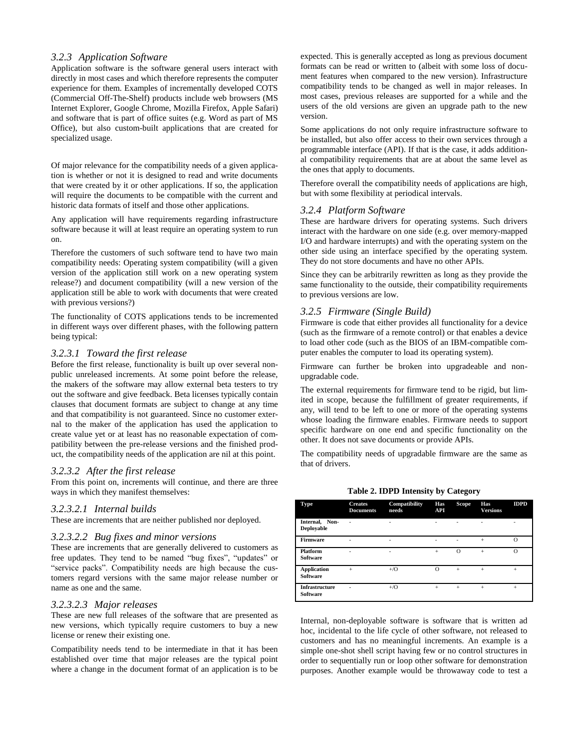# *3.2.3 Application Software*

Application software is the software general users interact with directly in most cases and which therefore represents the computer experience for them. Examples of incrementally developed COTS (Commercial Off-The-Shelf) products include web browsers (MS Internet Explorer, Google Chrome, Mozilla Firefox, Apple Safari) and software that is part of office suites (e.g. Word as part of MS Office), but also custom-built applications that are created for specialized usage.

Of major relevance for the compatibility needs of a given application is whether or not it is designed to read and write documents that were created by it or other applications. If so, the application will require the documents to be compatible with the current and historic data formats of itself and those other applications.

Any application will have requirements regarding infrastructure software because it will at least require an operating system to run on.

Therefore the customers of such software tend to have two main compatibility needs: Operating system compatibility (will a given version of the application still work on a new operating system release?) and document compatibility (will a new version of the application still be able to work with documents that were created with previous versions?)

The functionality of COTS applications tends to be incremented in different ways over different phases, with the following pattern being typical:

## *3.2.3.1 Toward the first release*

Before the first release, functionality is built up over several nonpublic unreleased increments. At some point before the release, the makers of the software may allow external beta testers to try out the software and give feedback. Beta licenses typically contain clauses that document formats are subject to change at any time and that compatibility is not guaranteed. Since no customer external to the maker of the application has used the application to create value yet or at least has no reasonable expectation of compatibility between the pre-release versions and the finished product, the compatibility needs of the application are nil at this point.

### *3.2.3.2 After the first release*

From this point on, increments will continue, and there are three ways in which they manifest themselves:

### *3.2.3.2.1 Internal builds*

These are increments that are neither published nor deployed.

### *3.2.3.2.2 Bug fixes and minor versions*

These are increments that are generally delivered to customers as free updates. They tend to be named "bug fixes", "updates" or "service packs". Compatibility needs are high because the customers regard versions with the same major release number or name as one and the same.

## *3.2.3.2.3 Major releases*

These are new full releases of the software that are presented as new versions, which typically require customers to buy a new license or renew their existing one.

Compatibility needs tend to be intermediate in that it has been established over time that major releases are the typical point where a change in the document format of an application is to be

expected. This is generally accepted as long as previous document formats can be read or written to (albeit with some loss of document features when compared to the new version). Infrastructure compatibility tends to be changed as well in major releases. In most cases, previous releases are supported for a while and the users of the old versions are given an upgrade path to the new version.

Some applications do not only require infrastructure software to be installed, but also offer access to their own services through a programmable interface (API). If that is the case, it adds additional compatibility requirements that are at about the same level as the ones that apply to documents.

Therefore overall the compatibility needs of applications are high, but with some flexibility at periodical intervals.

### *3.2.4 Platform Software*

These are hardware drivers for operating systems. Such drivers interact with the hardware on one side (e.g. over memory-mapped I/O and hardware interrupts) and with the operating system on the other side using an interface specified by the operating system. They do not store documents and have no other APIs.

Since they can be arbitrarily rewritten as long as they provide the same functionality to the outside, their compatibility requirements to previous versions are low.

### *3.2.5 Firmware (Single Build)*

Firmware is code that either provides all functionality for a device (such as the firmware of a remote control) or that enables a device to load other code (such as the BIOS of an IBM-compatible computer enables the computer to load its operating system).

Firmware can further be broken into upgradeable and nonupgradable code.

The external requirements for firmware tend to be rigid, but limited in scope, because the fulfillment of greater requirements, if any, will tend to be left to one or more of the operating systems whose loading the firmware enables. Firmware needs to support specific hardware on one end and specific functionality on the other. It does not save documents or provide APIs.

The compatibility needs of upgradable firmware are the same as that of drivers.

**Table 2. IDPD Intensity by Category**

| Type                                  | <b>Creates</b><br><b>Documents</b> | Compatibility<br>needs | Has<br>API               | <b>Scope</b> | Has<br><b>Versions</b> | <b>IDPD</b> |
|---------------------------------------|------------------------------------|------------------------|--------------------------|--------------|------------------------|-------------|
| Internal, Non-<br><b>Deployable</b>   |                                    |                        |                          |              |                        |             |
| <b>Firmware</b>                       | ۰                                  | ۰                      | $\overline{\phantom{a}}$ | ٠            | $\ddot{}$              | $\Omega$    |
| <b>Platform</b><br><b>Software</b>    | ۰                                  | ۰                      | $\ddot{}$                | $\Omega$     | $\ddot{}$              | $\Omega$    |
| <b>Application</b><br><b>Software</b> | $\ddot{}$                          | $+$ /O                 | $\Omega$                 | $\ddot{}$    | $+$                    | $\ddot{}$   |
| Infrastructure<br><b>Software</b>     |                                    | $+$ /O                 | $\ddot{}$                | $\ddot{}$    | $\ddot{}$              | $+$         |

Internal, non-deployable software is software that is written ad hoc, incidental to the life cycle of other software, not released to customers and has no meaningful increments. An example is a simple one-shot shell script having few or no control structures in order to sequentially run or loop other software for demonstration purposes. Another example would be throwaway code to test a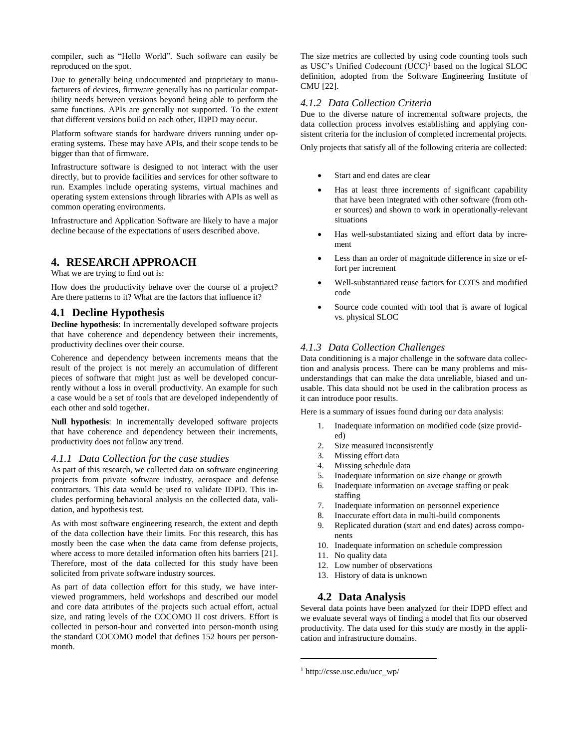compiler, such as "Hello World". Such software can easily be reproduced on the spot.

Due to generally being undocumented and proprietary to manufacturers of devices, firmware generally has no particular compatibility needs between versions beyond being able to perform the same functions. APIs are generally not supported. To the extent that different versions build on each other, IDPD may occur.

Platform software stands for hardware drivers running under operating systems. These may have APIs, and their scope tends to be bigger than that of firmware.

Infrastructure software is designed to not interact with the user directly, but to provide facilities and services for other software to run. Examples include operating systems, virtual machines and operating system extensions through libraries with APIs as well as common operating environments.

Infrastructure and Application Software are likely to have a major decline because of the expectations of users described above.

# **4. RESEARCH APPROACH**

What we are trying to find out is:

How does the productivity behave over the course of a project? Are there patterns to it? What are the factors that influence it?

# **4.1 Decline Hypothesis**

**Decline hypothesis**: In incrementally developed software projects that have coherence and dependency between their increments, productivity declines over their course.

Coherence and dependency between increments means that the result of the project is not merely an accumulation of different pieces of software that might just as well be developed concurrently without a loss in overall productivity. An example for such a case would be a set of tools that are developed independently of each other and sold together.

**Null hypothesis**: In incrementally developed software projects that have coherence and dependency between their increments, productivity does not follow any trend.

### *4.1.1 Data Collection for the case studies*

As part of this research, we collected data on software engineering projects from private software industry, aerospace and defense contractors. This data would be used to validate IDPD. This includes performing behavioral analysis on the collected data, validation, and hypothesis test.

As with most software engineering research, the extent and depth of the data collection have their limits. For this research, this has mostly been the case when the data came from defense projects, where access to more detailed information often hits barriers [21]. Therefore, most of the data collected for this study have been solicited from private software industry sources.

As part of data collection effort for this study, we have interviewed programmers, held workshops and described our model and core data attributes of the projects such actual effort, actual size, and rating levels of the COCOMO II cost drivers. Effort is collected in person-hour and converted into person-month using the standard COCOMO model that defines 152 hours per personmonth.

The size metrics are collected by using code counting tools such as USC's Unified Codecount (UCC)<sup>1</sup> based on the logical SLOC definition, adopted from the Software Engineering Institute of CMU [22].

# *4.1.2 Data Collection Criteria*

Due to the diverse nature of incremental software projects, the data collection process involves establishing and applying consistent criteria for the inclusion of completed incremental projects.

Only projects that satisfy all of the following criteria are collected:

- Start and end dates are clear
- Has at least three increments of significant capability that have been integrated with other software (from other sources) and shown to work in operationally-relevant situations
- Has well-substantiated sizing and effort data by increment
- Less than an order of magnitude difference in size or effort per increment
- Well-substantiated reuse factors for COTS and modified code
- Source code counted with tool that is aware of logical vs. physical SLOC

# *4.1.3 Data Collection Challenges*

Data conditioning is a major challenge in the software data collection and analysis process. There can be many problems and misunderstandings that can make the data unreliable, biased and unusable. This data should not be used in the calibration process as it can introduce poor results.

Here is a summary of issues found during our data analysis:

- 1. Inadequate information on modified code (size provided)
- 2. Size measured inconsistently
- 3. Missing effort data
- 4. Missing schedule data
- 5. Inadequate information on size change or growth
- 6. Inadequate information on average staffing or peak staffing
- 7. Inadequate information on personnel experience
- 8. Inaccurate effort data in multi-build components
- 9. Replicated duration (start and end dates) across components
- 10. Inadequate information on schedule compression
- 11. No quality data
- 12. Low number of observations
- 13. History of data is unknown

# **4.2 Data Analysis**

Several data points have been analyzed for their IDPD effect and we evaluate several ways of finding a model that fits our observed productivity. The data used for this study are mostly in the application and infrastructure domains.

l

<sup>1</sup> http://csse.usc.edu/ucc\_wp/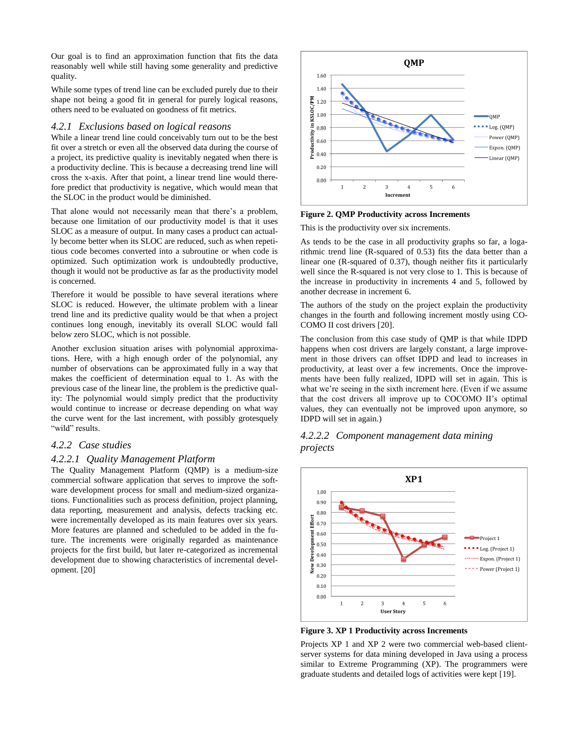Our goal is to find an approximation function that fits the data reasonably well while still having some generality and predictive quality.

While some types of trend line can be excluded purely due to their shape not being a good fit in general for purely logical reasons, others need to be evaluated on goodness of fit metrics.

### *4.2.1 Exclusions based on logical reasons*

While a linear trend line could conceivably turn out to be the best fit over a stretch or even all the observed data during the course of a project, its predictive quality is inevitably negated when there is a productivity decline. This is because a decreasing trend line will cross the x-axis. After that point, a linear trend line would therefore predict that productivity is negative, which would mean that the SLOC in the product would be diminished.

That alone would not necessarily mean that there's a problem, because one limitation of our productivity model is that it uses SLOC as a measure of output. In many cases a product can actually become better when its SLOC are reduced, such as when repetitious code becomes converted into a subroutine or when code is optimized. Such optimization work is undoubtedly productive, though it would not be productive as far as the productivity model is concerned.

Therefore it would be possible to have several iterations where SLOC is reduced. However, the ultimate problem with a linear trend line and its predictive quality would be that when a project continues long enough, inevitably its overall SLOC would fall below zero SLOC, which is not possible.

Another exclusion situation arises with polynomial approximations. Here, with a high enough order of the polynomial, any number of observations can be approximated fully in a way that makes the coefficient of determination equal to 1. As with the previous case of the linear line, the problem is the predictive quality: The polynomial would simply predict that the productivity would continue to increase or decrease depending on what way the curve went for the last increment, with possibly grotesquely "wild" results.

### *4.2.2 Case studies*

#### *4.2.2.1 Quality Management Platform*

The Quality Management Platform (QMP) is a medium-size commercial software application that serves to improve the software development process for small and medium-sized organizations. Functionalities such as process definition, project planning, data reporting, measurement and analysis, defects tracking etc. were incrementally developed as its main features over six years. More features are planned and scheduled to be added in the future. The increments were originally regarded as maintenance projects for the first build, but later re-categorized as incremental development due to showing characteristics of incremental development. [20]



#### **Figure 2. QMP Productivity across Increments**

This is the productivity over six increments.

As tends to be the case in all productivity graphs so far, a logarithmic trend line (R-squared of 0.53) fits the data better than a linear one (R-squared of 0.37), though neither fits it particularly well since the R-squared is not very close to 1. This is because of the increase in productivity in increments 4 and 5, followed by another decrease in increment 6.

The authors of the study on the project explain the productivity changes in the fourth and following increment mostly using CO-COMO II cost drivers [20].

The conclusion from this case study of QMP is that while IDPD happens when cost drivers are largely constant, a large improvement in those drivers can offset IDPD and lead to increases in productivity, at least over a few increments. Once the improvements have been fully realized, IDPD will set in again. This is what we're seeing in the sixth increment here. (Even if we assume that the cost drivers all improve up to COCOMO II's optimal values, they can eventually not be improved upon anymore, so IDPD will set in again.)





**Figure 3. XP 1 Productivity across Increments**

Projects XP 1 and XP 2 were two commercial web-based clientserver systems for data mining developed in Java using a process similar to Extreme Programming (XP). The programmers were graduate students and detailed logs of activities were kept [19].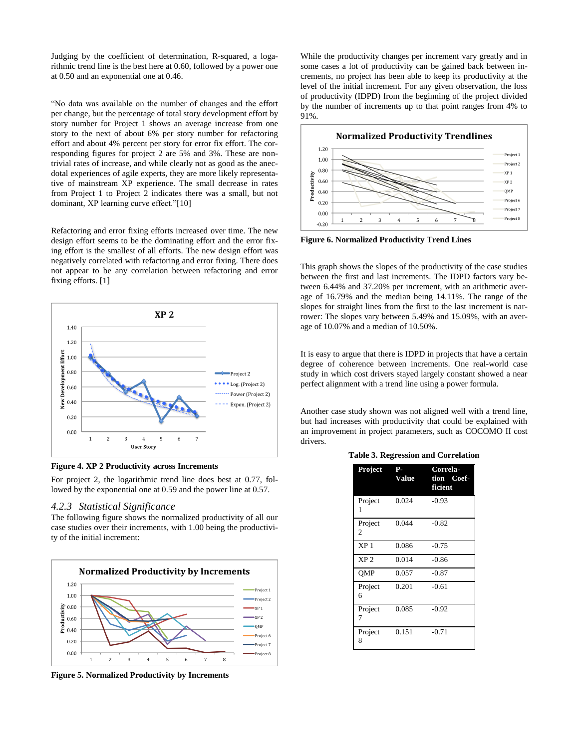Judging by the coefficient of determination, R-squared, a logarithmic trend line is the best here at 0.60, followed by a power one at 0.50 and an exponential one at 0.46.

"No data was available on the number of changes and the effort per change, but the percentage of total story development effort by story number for Project 1 shows an average increase from one story to the next of about 6% per story number for refactoring effort and about 4% percent per story for error fix effort. The corresponding figures for project 2 are 5% and 3%. These are nontrivial rates of increase, and while clearly not as good as the anecdotal experiences of agile experts, they are more likely representative of mainstream XP experience. The small decrease in rates from Project 1 to Project 2 indicates there was a small, but not dominant, XP learning curve effect."[10]

Refactoring and error fixing efforts increased over time. The new design effort seems to be the dominating effort and the error fixing effort is the smallest of all efforts. The new design effort was negatively correlated with refactoring and error fixing. There does not appear to be any correlation between refactoring and error fixing efforts. [1]



**Figure 4. XP 2 Productivity across Increments**

For project 2, the logarithmic trend line does best at 0.77, followed by the exponential one at 0.59 and the power line at 0.57.

### *4.2.3 Statistical Significance*

The following figure shows the normalized productivity of all our case studies over their increments, with 1.00 being the productivity of the initial increment:



**Figure 5. Normalized Productivity by Increments**

While the productivity changes per increment vary greatly and in some cases a lot of productivity can be gained back between increments, no project has been able to keep its productivity at the level of the initial increment. For any given observation, the loss of productivity (IDPD) from the beginning of the project divided by the number of increments up to that point ranges from 4% to 91%.



**Figure 6. Normalized Productivity Trend Lines**

This graph shows the slopes of the productivity of the case studies between the first and last increments. The IDPD factors vary between 6.44% and 37.20% per increment, with an arithmetic average of 16.79% and the median being 14.11%. The range of the slopes for straight lines from the first to the last increment is narrower: The slopes vary between 5.49% and 15.09%, with an average of 10.07% and a median of 10.50%.

It is easy to argue that there is IDPD in projects that have a certain degree of coherence between increments. One real-world case study in which cost drivers stayed largely constant showed a near perfect alignment with a trend line using a power formula.

Another case study shown was not aligned well with a trend line, but had increases with productivity that could be explained with an improvement in project parameters, such as COCOMO II cost drivers.

| <b>Table 3. Regression and Correlation</b> |  |  |  |  |  |  |
|--------------------------------------------|--|--|--|--|--|--|
|--------------------------------------------|--|--|--|--|--|--|

| Project         | <b>P-</b><br><b>Value</b> | Correla-<br>tion Coef-<br>ficient |
|-----------------|---------------------------|-----------------------------------|
| Project<br>1    | 0.024                     | $-0.93$                           |
| Project<br>2    | 0.044                     | $-0.82$                           |
| XP <sub>1</sub> | 0.086                     | $-0.75$                           |
| XP <sub>2</sub> | 0.014                     | $-0.86$                           |
| <b>QMP</b>      | 0.057                     | $-0.87$                           |
| Project<br>6    | 0.201                     | $-0.61$                           |
| Project<br>7    | 0.085                     | $-0.92$                           |
| Project<br>8    | 0.151                     | $-0.71$                           |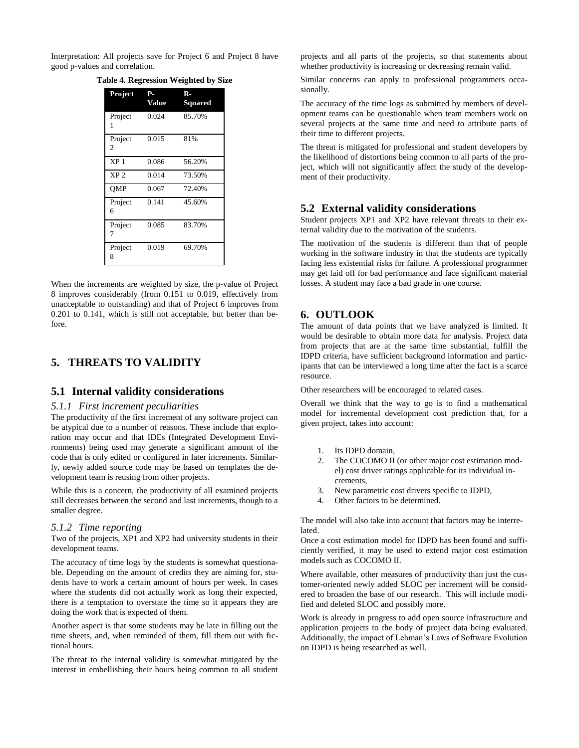Interpretation: All projects save for Project 6 and Project 8 have good p-values and correlation.

| Table 4. Regression Weighted by Size |  |  |
|--------------------------------------|--|--|
|                                      |  |  |

| Project         | Р-<br><b>Value</b> | $R-$<br><b>Squared</b> |
|-----------------|--------------------|------------------------|
| Project<br>1    | 0.024              | 85.70%                 |
| Project<br>2    | 0.015              | 81%                    |
| XP <sub>1</sub> | 0.086              | 56.20%                 |
| XP <sub>2</sub> | 0.014              | 73.50%                 |
| OMP             | 0.067              | 72.40%                 |
| Project<br>6    | 0.141              | 45.60%                 |
| Project<br>7    | 0.085              | 83.70%                 |
| Project<br>8    | 0.019              | 69.70%                 |

When the increments are weighted by size, the p-value of Project 8 improves considerably (from 0.151 to 0.019, effectively from unacceptable to outstanding) and that of Project 6 improves from 0.201 to 0.141, which is still not acceptable, but better than before.

# **5. THREATS TO VALIDITY**

### **5.1 Internal validity considerations**

### *5.1.1 First increment peculiarities*

The productivity of the first increment of any software project can be atypical due to a number of reasons. These include that exploration may occur and that IDEs (Integrated Development Environments) being used may generate a significant amount of the code that is only edited or configured in later increments. Similarly, newly added source code may be based on templates the development team is reusing from other projects.

While this is a concern, the productivity of all examined projects still decreases between the second and last increments, though to a smaller degree.

### *5.1.2 Time reporting*

Two of the projects, XP1 and XP2 had university students in their development teams.

The accuracy of time logs by the students is somewhat questionable. Depending on the amount of credits they are aiming for, students have to work a certain amount of hours per week. In cases where the students did not actually work as long their expected, there is a temptation to overstate the time so it appears they are doing the work that is expected of them.

Another aspect is that some students may be late in filling out the time sheets, and, when reminded of them, fill them out with fictional hours.

The threat to the internal validity is somewhat mitigated by the interest in embellishing their hours being common to all student

projects and all parts of the projects, so that statements about whether productivity is increasing or decreasing remain valid.

Similar concerns can apply to professional programmers occasionally.

The accuracy of the time logs as submitted by members of development teams can be questionable when team members work on several projects at the same time and need to attribute parts of their time to different projects.

The threat is mitigated for professional and student developers by the likelihood of distortions being common to all parts of the project, which will not significantly affect the study of the development of their productivity.

# **5.2 External validity considerations**

Student projects XP1 and XP2 have relevant threats to their external validity due to the motivation of the students.

The motivation of the students is different than that of people working in the software industry in that the students are typically facing less existential risks for failure. A professional programmer may get laid off for bad performance and face significant material losses. A student may face a bad grade in one course.

# **6. OUTLOOK**

The amount of data points that we have analyzed is limited. It would be desirable to obtain more data for analysis. Project data from projects that are at the same time substantial, fulfill the IDPD criteria, have sufficient background information and participants that can be interviewed a long time after the fact is a scarce resource.

Other researchers will be encouraged to related cases.

Overall we think that the way to go is to find a mathematical model for incremental development cost prediction that, for a given project, takes into account:

- 1. Its IDPD domain,
- 2. The COCOMO II (or other major cost estimation model) cost driver ratings applicable for its individual increments,
- 3. New parametric cost drivers specific to IDPD,
- 4. Other factors to be determined.

The model will also take into account that factors may be interrelated.

Once a cost estimation model for IDPD has been found and sufficiently verified, it may be used to extend major cost estimation models such as COCOMO II.

Where available, other measures of productivity than just the customer-oriented newly added SLOC per increment will be considered to broaden the base of our research. This will include modified and deleted SLOC and possibly more.

Work is already in progress to add open source infrastructure and application projects to the body of project data being evaluated. Additionally, the impact of Lehman's Laws of Software Evolution on IDPD is being researched as well.